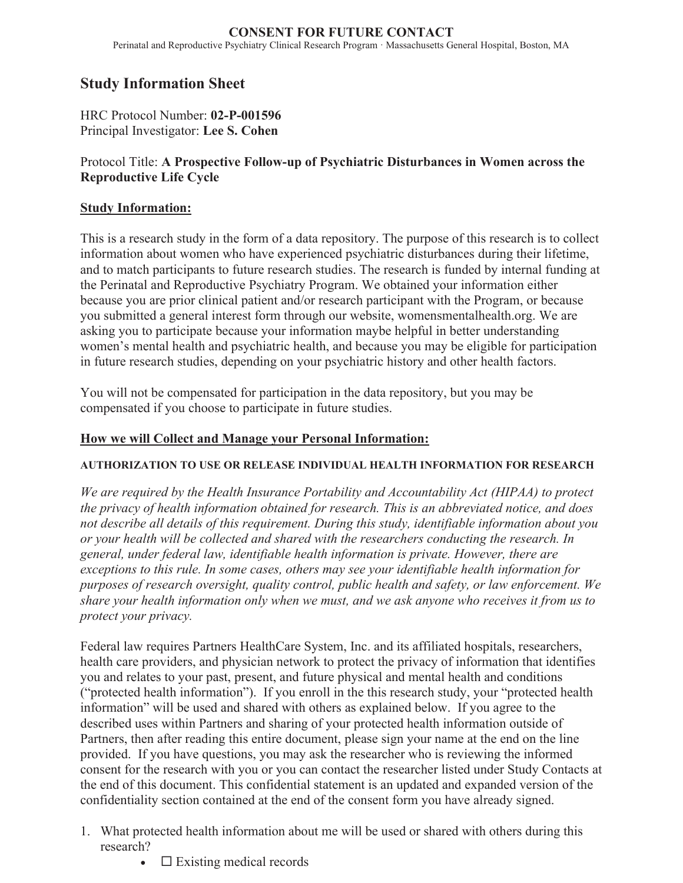#### **CONSENT FOR FUTURE CONTACT**  Perinatal and Reproductive Psychiatry Clinical Research Program · Massachusetts General Hospital, Boston, MA

# **Study Information Sheet**

HRC Protocol Number: **02-P-001596** Principal Investigator: **Lee S. Cohen**

## Protocol Title: **A Prospective Follow-up of Psychiatric Disturbances in Women across the Reproductive Life Cycle**

## **Study Information:**

This is a research study in the form of a data repository. The purpose of this research is to collect information about women who have experienced psychiatric disturbances during their lifetime, and to match participants to future research studies. The research is funded by internal funding at the Perinatal and Reproductive Psychiatry Program. We obtained your information either because you are prior clinical patient and/or research participant with the Program, or because you submitted a general interest form through our website, womensmentalhealth.org. We are asking you to participate because your information maybe helpful in better understanding women's mental health and psychiatric health, and because you may be eligible for participation in future research studies, depending on your psychiatric history and other health factors.

You will not be compensated for participation in the data repository, but you may be compensated if you choose to participate in future studies.

### **How we will Collect and Manage your Personal Information:**

#### **AUTHORIZATION TO USE OR RELEASE INDIVIDUAL HEALTH INFORMATION FOR RESEARCH**

*We are required by the Health Insurance Portability and Accountability Act (HIPAA) to protect the privacy of health information obtained for research. This is an abbreviated notice, and does not describe all details of this requirement. During this study, identifiable information about you or your health will be collected and shared with the researchers conducting the research. In general, under federal law, identifiable health information is private. However, there are exceptions to this rule. In some cases, others may see your identifiable health information for purposes of research oversight, quality control, public health and safety, or law enforcement. We share your health information only when we must, and we ask anyone who receives it from us to protect your privacy.*

Federal law requires Partners HealthCare System, Inc. and its affiliated hospitals, researchers, health care providers, and physician network to protect the privacy of information that identifies you and relates to your past, present, and future physical and mental health and conditions ("protected health information"). If you enroll in the this research study, your "protected health information" will be used and shared with others as explained below. If you agree to the described uses within Partners and sharing of your protected health information outside of Partners, then after reading this entire document, please sign your name at the end on the line provided. If you have questions, you may ask the researcher who is reviewing the informed consent for the research with you or you can contact the researcher listed under Study Contacts at the end of this document. This confidential statement is an updated and expanded version of the confidentiality section contained at the end of the consent form you have already signed.

- 1. What protected health information about me will be used or shared with others during this research?
	- $\bullet$   $\square$  Existing medical records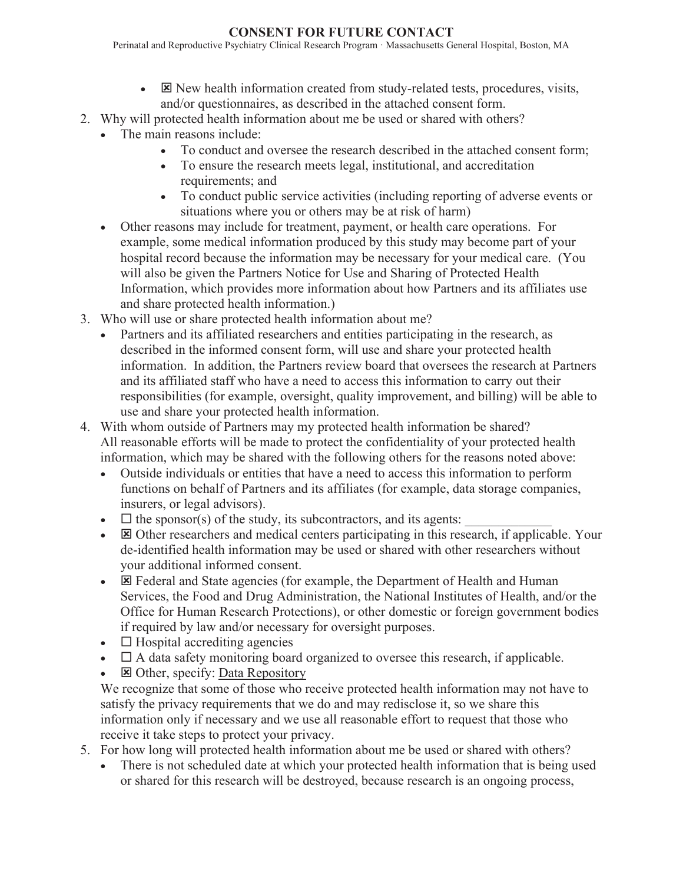## **CONSENT FOR FUTURE CONTACT**

Perinatal and Reproductive Psychiatry Clinical Research Program · Massachusetts General Hospital, Boston, MA

- $\bullet$   $\boxtimes$  New health information created from study-related tests, procedures, visits, and/or questionnaires, as described in the attached consent form.
- 2. Why will protected health information about me be used or shared with others?
	- The main reasons include:
		- To conduct and oversee the research described in the attached consent form;
		- To ensure the research meets legal, institutional, and accreditation requirements; and
		- To conduct public service activities (including reporting of adverse events or situations where you or others may be at risk of harm)
	- Other reasons may include for treatment, payment, or health care operations. For example, some medical information produced by this study may become part of your hospital record because the information may be necessary for your medical care. (You will also be given the Partners Notice for Use and Sharing of Protected Health Information, which provides more information about how Partners and its affiliates use and share protected health information.)
- 3. Who will use or share protected health information about me?
	- Partners and its affiliated researchers and entities participating in the research, as described in the informed consent form, will use and share your protected health information. In addition, the Partners review board that oversees the research at Partners and its affiliated staff who have a need to access this information to carry out their responsibilities (for example, oversight, quality improvement, and billing) will be able to use and share your protected health information.
- 4. With whom outside of Partners may my protected health information be shared? All reasonable efforts will be made to protect the confidentiality of your protected health information, which may be shared with the following others for the reasons noted above:
	- Outside individuals or entities that have a need to access this information to perform functions on behalf of Partners and its affiliates (for example, data storage companies, insurers, or legal advisors).
	- $\Box$  the sponsor(s) of the study, its subcontractors, and its agents:
	- $\bullet$   $\boxtimes$  Other researchers and medical centers participating in this research, if applicable. Your de-identified health information may be used or shared with other researchers without your additional informed consent.
	- $\boxtimes$  Federal and State agencies (for example, the Department of Health and Human Services, the Food and Drug Administration, the National Institutes of Health, and/or the Office for Human Research Protections), or other domestic or foreign government bodies if required by law and/or necessary for oversight purposes.
	- $\bullet$   $\Box$  Hospital accrediting agencies
	- $\bullet$   $\Box$  A data safety monitoring board organized to oversee this research, if applicable.
	- **E** Other, specify: Data Repository

We recognize that some of those who receive protected health information may not have to satisfy the privacy requirements that we do and may redisclose it, so we share this information only if necessary and we use all reasonable effort to request that those who receive it take steps to protect your privacy.

- 5. For how long will protected health information about me be used or shared with others?
	- There is not scheduled date at which your protected health information that is being used or shared for this research will be destroyed, because research is an ongoing process,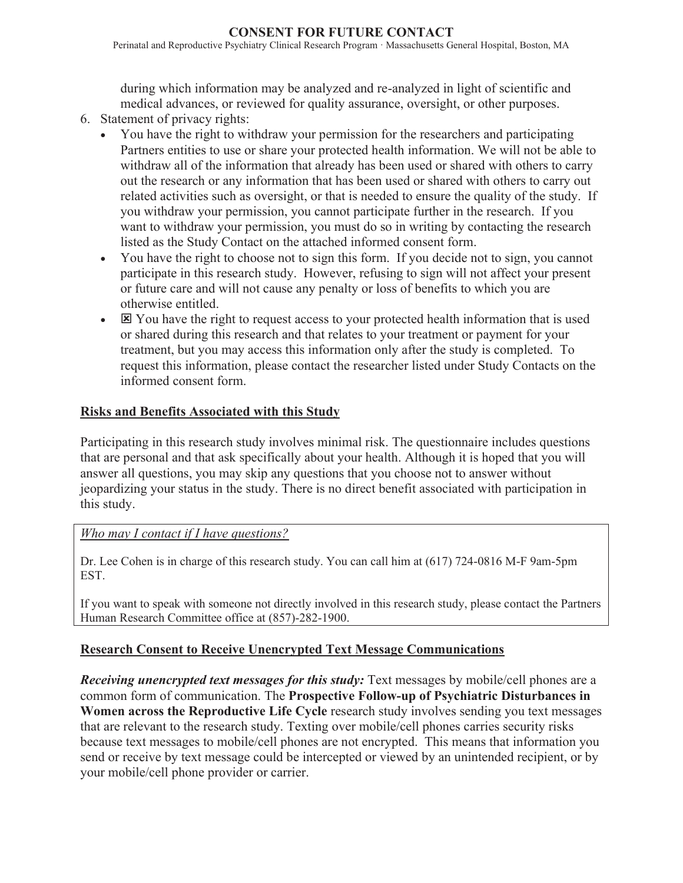### **CONSENT FOR FUTURE CONTACT**

Perinatal and Reproductive Psychiatry Clinical Research Program · Massachusetts General Hospital, Boston, MA

during which information may be analyzed and re-analyzed in light of scientific and medical advances, or reviewed for quality assurance, oversight, or other purposes.

- 6. Statement of privacy rights:
	- You have the right to withdraw your permission for the researchers and participating Partners entities to use or share your protected health information. We will not be able to withdraw all of the information that already has been used or shared with others to carry out the research or any information that has been used or shared with others to carry out related activities such as oversight, or that is needed to ensure the quality of the study. If you withdraw your permission, you cannot participate further in the research. If you want to withdraw your permission, you must do so in writing by contacting the research listed as the Study Contact on the attached informed consent form.
	- You have the right to choose not to sign this form. If you decide not to sign, you cannot participate in this research study. However, refusing to sign will not affect your present or future care and will not cause any penalty or loss of benefits to which you are otherwise entitled.
	- $\bullet$   $\boxtimes$  You have the right to request access to your protected health information that is used or shared during this research and that relates to your treatment or payment for your treatment, but you may access this information only after the study is completed. To request this information, please contact the researcher listed under Study Contacts on the informed consent form.

## **Risks and Benefits Associated with this Study**

Participating in this research study involves minimal risk. The questionnaire includes questions that are personal and that ask specifically about your health. Although it is hoped that you will answer all questions, you may skip any questions that you choose not to answer without jeopardizing your status in the study. There is no direct benefit associated with participation in this study.

#### *Who may I contact if I have questions?*

Dr. Lee Cohen is in charge of this research study. You can call him at (617) 724-0816 M-F 9am-5pm EST.

If you want to speak with someone not directly involved in this research study, please contact the Partners Human Research Committee office at (857)-282-1900.

## **Research Consent to Receive Unencrypted Text Message Communications**

*Receiving unencrypted text messages for this study:* Text messages by mobile/cell phones are a common form of communication. The **Prospective Follow-up of Psychiatric Disturbances in Women across the Reproductive Life Cycle** research study involves sending you text messages that are relevant to the research study. Texting over mobile/cell phones carries security risks because text messages to mobile/cell phones are not encrypted. This means that information you send or receive by text message could be intercepted or viewed by an unintended recipient, or by your mobile/cell phone provider or carrier.